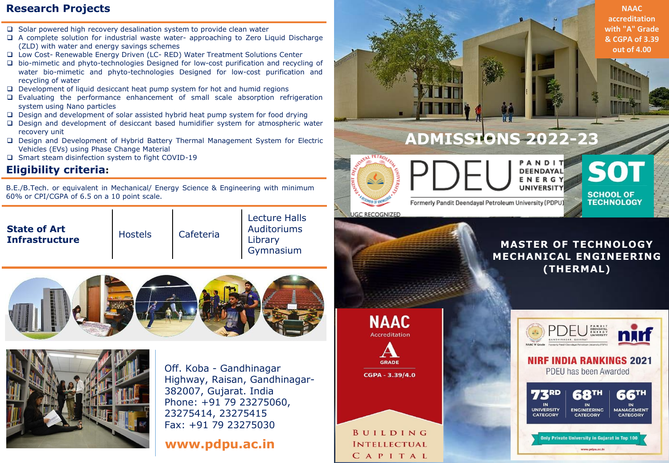### **Research Projects**

- $\Box$  Solar powered high recovery desalination system to provide clean water
- A complete solution for industrial waste water- approaching to Zero Liquid Discharge (ZLD) with water and energy savings schemes
- Low Cost- Renewable Energy Driven (LC- RED) Water Treatment Solutions Center
- bio-mimetic and phyto-technologies Designed for low-cost purification and recycling of water bio-mimetic and phyto-technologies Designed for low-cost purification and recycling of water
- $\Box$  Development of liquid desiccant heat pump system for hot and humid regions
- Evaluating the performance enhancement of small scale absorption refrigeration system using Nano particles
- $\Box$  Design and development of solar assisted hybrid heat pump system for food drying
- Design and development of desiccant based humidifier system for atmospheric water recovery unit
- Design and Development of Hybrid Battery Thermal Management System for Electric Vehicles (EVs) using Phase Change Material
- □ Smart steam disinfection system to fight COVID-19

## **Eligibility criteria:**

B.E./B.Tech. or equivalent in Mechanical/ Energy Science & Engineering with minimum 60% or CPI/CGPA of 6.5 on a 10 point scale.

| <b>State of Art</b><br><b>Infrastructure</b> | <b>Hostels</b> | Cafeteria | Lecture Halls<br>Auditoriums<br>Library<br>Gymnasium |
|----------------------------------------------|----------------|-----------|------------------------------------------------------|
|                                              |                |           |                                                      |





Off. Koba - Gandhinagar Highway, Raisan, Gandhinagar-382007, Gujarat. India Phone: +91 79 23275060, 23275414, 23275415 Fax: +91 79 23275030

# **www.pdpu.ac.in**



**UNIVERSITY** 

**CATEGORY** 

**ENGINEERING** 

**CATEGORY** 

Only Private University in Gujarat in Top 100

www.pdpu.ac.it

**MANAGEMENT** 

**CATEGORY** 

BUILDING **INTELLECTUAL** CAPITAL